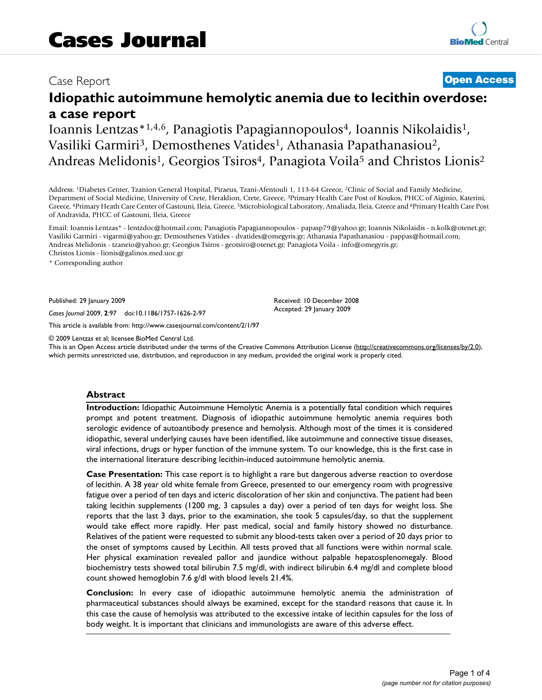# Case Report **[Open Access](http://www.biomedcentral.com/info/about/charter/)**

# **Idiopathic autoimmune hemolytic anemia due to lecithin overdose: a case report**

Ioannis Lentzas \* 1,4,6, Panagiotis Papagiannopoulos<sup>4</sup>, Ioannis Nikolaidis<sup>1</sup>, Vasiliki Garmiri<sup>3</sup>, Demosthenes Vatides<sup>1</sup>, Athanasia Papathanasiou<sup>2</sup>, Andreas Melidonis<sup>1</sup>, Georgios Tsiros<sup>4</sup>, Panagiota Voila<sup>5</sup> and Christos Lionis<sup>2</sup>

Address: 1Diabetes Center, Tzanion General Hospital, Piraeus, Tzani-Afentouli 1, 113-64 Greece, 2Clinic of Social and Family Medicine, Department of Social Medicine, University of Crete, Heraklion, Crete, Greece, 3Primary Health Care Post of Koukos, PHCC of Aiginio, Katerini, Greece, 4Primary Heath Care Center of Gastouni, Ileia, Greece, 5Microbiological Laboratory, Amaliada, Ileia, Greece and 6Primary Health Care Post of Andravida, PHCC of Gastouni, Ileia, Greece

Email: Ioannis Lentzas\* - lentzdoc@hotmail.com; Panagiotis Papagiannopoulos - papasp79@yahoo.gr; Ioannis Nikolaidis - n.kolk@otenet.gr; Vasiliki Garmiri - vigarmi@yahoo.gr; Demosthenes Vatides - dvatides@omegyris.gr; Athanasia Papathanasiou - pappas@hotmail.com; Andreas Melidonis - tzaneio@yahoo.gr; Georgios Tsiros - geotsiro@otenet.gr; Panagiota Voila - info@omegyris.gr; Christos Lionis - lionis@galinos.med.uoc.gr

\* Corresponding author

Published: 29 January 2009

*Cases Journal* 2009, **2**:97 doi:10.1186/1757-1626-2-97

[This article is available from: http://www.casesjournal.com/content/2/1/97](http://www.casesjournal.com/content/2/1/97)

© 2009 Lentzas et al; licensee BioMed Central Ltd.

This is an Open Access article distributed under the terms of the Creative Commons Attribution License [\(http://creativecommons.org/licenses/by/2.0\)](http://creativecommons.org/licenses/by/2.0), which permits unrestricted use, distribution, and reproduction in any medium, provided the original work is properly cited.

Received: 10 December 2008 Accepted: 29 January 2009

## **Abstract**

**Introduction:** Idiopathic Autoimmune Hemolytic Anemia is a potentially fatal condition which requires prompt and potent treatment. Diagnosis of idiopathic autoimmune hemolytic anemia requires both serologic evidence of autoantibody presence and hemolysis. Although most of the times it is considered idiopathic, several underlying causes have been identified, like autoimmune and connective tissue diseases, viral infections, drugs or hyper function of the immune system. To our knowledge, this is the first case in the international literature describing lecithin-induced autoimmune hemolytic anemia.

**Case Presentation:** This case report is to highlight a rare but dangerous adverse reaction to overdose of lecithin. A 38 year old white female from Greece, presented to our emergency room with progressive fatigue over a period of ten days and icteric discoloration of her skin and conjunctiva. The patient had been taking lecithin supplements (1200 mg, 3 capsules a day) over a period of ten days for weight loss. She reports that the last 3 days, prior to the examination, she took 5 capsules/day, so that the supplement would take effect more rapidly. Her past medical, social and family history showed no disturbance. Relatives of the patient were requested to submit any blood-tests taken over a period of 20 days prior to the onset of symptoms caused by Lecithin. All tests proved that all functions were within normal scale. Her physical examination revealed pallor and jaundice without palpable hepatosplenomegaly. Blood biochemistry tests showed total bilirubin 7.5 mg/dl, with indirect bilirubin 6.4 mg/dl and complete blood count showed hemoglobin 7.6 g/dl with blood levels 21.4%.

**Conclusion:** In every case of idiopathic autoimmune hemolytic anemia the administration of pharmaceutical substances should always be examined, except for the standard reasons that cause it. In this case the cause of hemolysis was attributed to the excessive intake of lecithin capsules for the loss of body weight. It is important that clinicians and immunologists are aware of this adverse effect.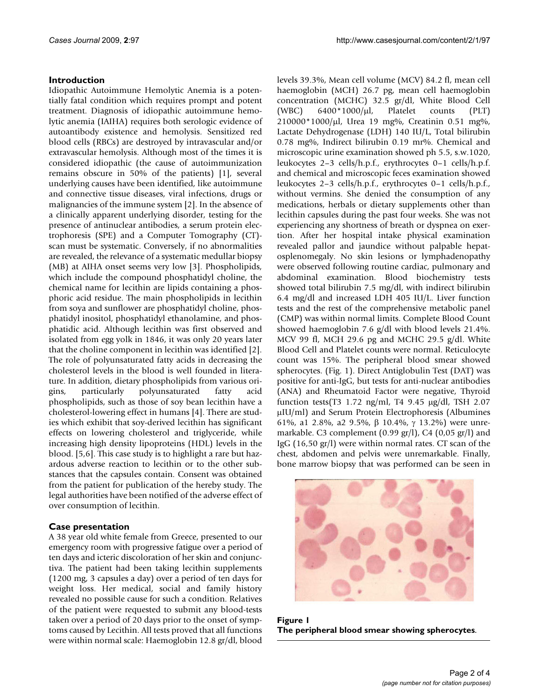## **Introduction**

Idiopathic Autoimmune Hemolytic Anemia is a potentially fatal condition which requires prompt and potent treatment. Diagnosis of idiopathic autoimmune hemolytic anemia (IAIHA) requires both serologic evidence of autoantibody existence and hemolysis. Sensitized red blood cells (RBCs) are destroyed by intravascular and/or extravascular hemolysis. Although most of the times it is considered idiopathic (the cause of autoimmunization remains obscure in 50% of the patients) [1], several underlying causes have been identified, like autoimmune and connective tissue diseases, viral infections, drugs or malignancies of the immune system [2]. In the absence of a clinically apparent underlying disorder, testing for the presence of antinuclear antibodies, a serum protein electrophoresis (SPE) and a Computer Tomography (CT) scan must be systematic. Conversely, if no abnormalities are revealed, the relevance of a systematic medullar biopsy (MB) at AIHA onset seems very low [3]. Phospholipids, which include the compound phosphatidyl choline, the chemical name for lecithin are lipids containing a phosphoric acid residue. The main phospholipids in lecithin from soya and sunflower are phosphatidyl choline, phosphatidyl inositol, phosphatidyl ethanolamine, and phosphatidic acid. Although lecithin was first observed and isolated from egg yolk in 1846, it was only 20 years later that the choline component in lecithin was identified [2]. The role of polyunsaturated fatty acids in decreasing the cholesterol levels in the blood is well founded in literature. In addition, dietary phospholipids from various origins, particularly polyunsaturated fatty acid phospholipids, such as those of soy bean lecithin have a cholesterol-lowering effect in humans [4]. There are studies which exhibit that soy-derived lecithin has significant effects on lowering cholesterol and triglyceride, while increasing high density lipoproteins (HDL) levels in the blood. [5,6]. This case study is to highlight a rare but hazardous adverse reaction to lecithin or to the other substances that the capsules contain. Consent was obtained from the patient for publication of the hereby study. The legal authorities have been notified of the adverse effect of over consumption of lecithin.

# **Case presentation**

A 38 year old white female from Greece, presented to our emergency room with progressive fatigue over a period of ten days and icteric discoloration of her skin and conjunctiva. The patient had been taking lecithin supplements (1200 mg, 3 capsules a day) over a period of ten days for weight loss. Her medical, social and family history revealed no possible cause for such a condition. Relatives of the patient were requested to submit any blood-tests taken over a period of 20 days prior to the onset of symptoms caused by Lecithin. All tests proved that all functions were within normal scale: Haemoglobin 12.8 gr/dl, blood

levels 39.3%, Mean cell volume (MCV) 84.2 fl, mean cell haemoglobin (MCH) 26.7 pg, mean cell haemoglobin concentration (MCHC) 32.5 gr/dl, White Blood Cell (WBC) 6400\*1000/μl, Platelet counts (PLT) 210000\*1000/μl, Urea 19 mg%, Creatinin 0.51 mg%, Lactate Dehydrogenase (LDH) 140 IU/L, Total bilirubin 0.78 mg%, Indirect bilirubin 0.19 mr%. Chemical and microscopic urine examination showed ph 5.5, s.w.1020, leukocytes 2–3 cells/h.p.f., erythrocytes 0–1 cells/h.p.f. and chemical and microscopic feces examination showed leukocytes 2–3 cells/h.p.f., erythrocytes 0–1 cells/h.p.f., without vermins. She denied the consumption of any medications, herbals or dietary supplements other than lecithin capsules during the past four weeks. She was not experiencing any shortness of breath or dyspnea on exertion. After her hospital intake physical examination revealed pallor and jaundice without palpable hepatosplenomegaly. No skin lesions or lymphadenopathy were observed following routine cardiac, pulmonary and abdominal examination. Blood biochemistry tests showed total bilirubin 7.5 mg/dl, with indirect bilirubin 6.4 mg/dl and increased LDH 405 IU/L. Liver function tests and the rest of the comprehensive metabolic panel (CMP) was within normal limits. Complete Blood Count showed haemoglobin 7.6 g/dl with blood levels 21.4%. MCV 99 fl, MCH 29.6 pg and MCHC 29.5 g/dl. White Blood Cell and Platelet counts were normal. Reticulocyte count was 15%. The peripheral blood smear showed spherocytes. (Fig. 1). Direct Antiglobulin Test (DAT) was positive for anti-IgG, but tests for anti-nuclear antibodies (ANA) and Rheumatoid Factor were negative, Thyroid function tests(T3 1.72 ng/ml, T4 9.45 μg/dl, TSH 2.07 μIU/ml) and Serum Protein Electrophoresis (Albumines 61%, a1 2.8%, a2 9.5%, β 10.4%, γ 13.2%) were unremarkable. C3 complement (0.99 gr/l), C4 (0,05 gr/l) and IgG (16,50 gr/l) were within normal rates. CT scan of the chest, abdomen and pelvis were unremarkable. Finally, bone marrow biopsy that was performed can be seen in



Figure 1 **The peripheral blood smear showing spherocytes**.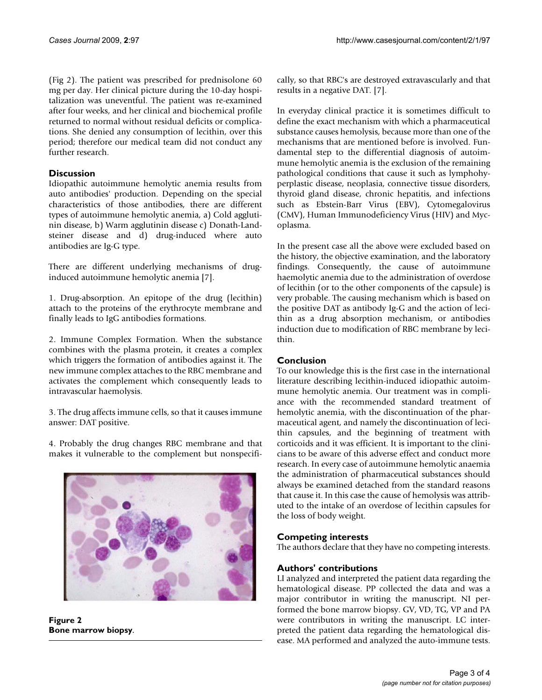(Fig 2). The patient was prescribed for prednisolone 60 mg per day. Her clinical picture during the 10-day hospitalization was uneventful. The patient was re-examined after four weeks, and her clinical and biochemical profile returned to normal without residual deficits or complications. She denied any consumption of lecithin, over this period; therefore our medical team did not conduct any further research.

# **Discussion**

Idiopathic autoimmune hemolytic anemia results from auto antibodies' production. Depending on the special characteristics of those antibodies, there are different types of autoimmune hemolytic anemia, a) Cold agglutinin disease, b) Warm agglutinin disease c) Donath-Landsteiner disease and d) drug-induced where auto antibodies are Ig-G type.

There are different underlying mechanisms of druginduced autoimmune hemolytic anemia [7].

1. Drug-absorption. An epitope of the drug (lecithin) attach to the proteins of the erythrocyte membrane and finally leads to IgG antibodies formations.

2. Immune Complex Formation. When the substance combines with the plasma protein, it creates a complex which triggers the formation of antibodies against it. The new immune complex attaches to the RBC membrane and activates the complement which consequently leads to intravascular haemolysis.

3. The drug affects immune cells, so that it causes immune answer: DAT positive.

4. Probably the drug changes RBC membrane and that makes it vulnerable to the complement but nonspecifi-



**Figure 2 Bone marrow biopsy**.

cally, so that RBC's are destroyed extravascularly and that results in a negative DAT. [7].

In everyday clinical practice it is sometimes difficult to define the exact mechanism with which a pharmaceutical substance causes hemolysis, because more than one of the mechanisms that are mentioned before is involved. Fundamental step to the differential diagnosis of autoimmune hemolytic anemia is the exclusion of the remaining pathological conditions that cause it such as lymphohyperplastic disease, neoplasia, connective tissue disorders, thyroid gland disease, chronic hepatitis, and infections such as Ebstein-Barr Virus (EBV), Cytomegalovirus (CMV), Human Immunodeficiency Virus (HIV) and Mycoplasma.

In the present case all the above were excluded based on the history, the objective examination, and the laboratory findings. Consequently, the cause of autoimmune haemolytic anemia due to the administration of overdose of lecithin (or to the other components of the capsule) is very probable. The causing mechanism which is based on the positive DAT as antibody Ig-G and the action of lecithin as a drug absorption mechanism, or antibodies induction due to modification of RBC membrane by lecithin.

# **Conclusion**

To our knowledge this is the first case in the international literature describing lecithin-induced idiopathic autoimmune hemolytic anemia. Our treatment was in compliance with the recommended standard treatment of hemolytic anemia, with the discontinuation of the pharmaceutical agent, and namely the discontinuation of lecithin capsules, and the beginning of treatment with corticoids and it was efficient. It is important to the clinicians to be aware of this adverse effect and conduct more research. In every case of autoimmune hemolytic anaemia the administration of pharmaceutical substances should always be examined detached from the standard reasons that cause it. In this case the cause of hemolysis was attributed to the intake of an overdose of lecithin capsules for the loss of body weight.

# **Competing interests**

The authors declare that they have no competing interests.

# **Authors' contributions**

LI analyzed and interpreted the patient data regarding the hematological disease. PP collected the data and was a major contributor in writing the manuscript. NI performed the bone marrow biopsy. GV, VD, TG, VP and PA were contributors in writing the manuscript. LC interpreted the patient data regarding the hematological disease. MA performed and analyzed the auto-immune tests.